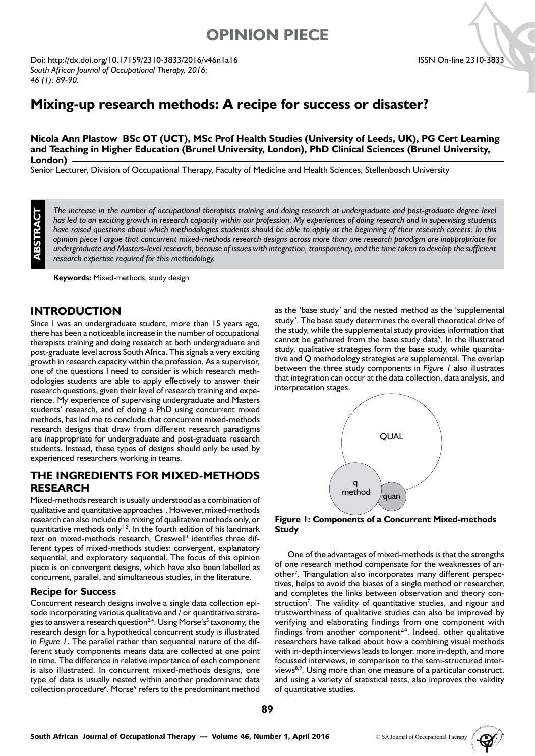# **OPINION PIECE**

Doi: http://dx.doi.org/10.17159/2310-3833/2016/v46n1a16 *South African Journal of Occupational Therapy, 2016; 46 (1): 89-90.* 

## **Mixing-up research methods: A recipe for success or disaster?**

**Nicola Ann Plastow BSc OT (UCT), MSc Prof Health Studies (University of Leeds, UK), PG Cert Learning and Teaching in Higher Education (Brunel University, London), PhD Clinical Sciences (Brunel University, London)**

Senior Lecturer, Division of Occupational Therapy, Faculty of Medicine and Health Sciences, Stellenbosch University

**ABSTRACT**

The increase in the number of occupational therapists training and doing research at undergraduate and post-graduate degree level *has led to an exciting growth in research capacity within our profession. My experiences of doing research and in supervising students have raised questions about which methodologies students should be able to apply at the beginning of their research careers. In this opinion piece I argue that concurrent mixed-methods research designs across more than one research paradigm are inappropriate for undergraduate and Masters-level research, because of issues with integration, transparency, and the time taken to develop the sufficient research expertise required for this methodology.*

**Keywords:** Mixed-methods, study design

## **INTRODUCTION**

Since I was an undergraduate student, more than 15 years ago, there has been a noticeable increase in the number of occupational therapists training and doing research at both undergraduate and post-graduate level across South Africa. This signals a very exciting growth in research capacity within the profession. As a supervisor, one of the questions I need to consider is which research methodologies students are able to apply effectively to answer their research questions, given their level of research training and experience. My experience of supervising undergraduate and Masters students' research, and of doing a PhD using concurrent mixed methods, has led me to conclude that concurrent mixed-methods research designs that draw from different research paradigms are inappropriate for undergraduate and post-graduate research students. Instead, these types of designs should only be used by experienced researchers working in teams.

## **THE INGREDIENTS FOR MIXED-METHODS RESEARCH**

Mixed-methods research is usually understood as a combination of qualitative and quantitative approaches<sup>1</sup>. However, mixed-methods research can also include the mixing of qualitative methods only, or quantitative methods only<sup> $1,2$ </sup>. In the fourth edition of his landmark text on mixed-methods research, Creswell<sup>3</sup> identifies three different types of mixed-methods studies: convergent, explanatory sequential, and exploratory sequential. The focus of this opinion piece is on convergent designs, which have also been labelled as concurrent, parallel, and simultaneous studies, in the literature.

#### **Recipe for Success**

Concurrent research designs involve a single data collection episode incorporating various qualitative and  $\overline{I}$  or quantitative strategies to answer a research question<sup>2,4</sup>. Using Morse's<sup>5</sup> taxonomy, the research design for a hypothetical concurrent study is illustrated in *Figure 1*. The parallel rather than sequential nature of the different study components means data are collected at one point in time. The difference in relative importance of each component is also illustrated. In concurrent mixed-methods designs, one type of data is usually nested within another predominant data collection procedure<sup>6</sup>. Morse<sup>5</sup> refers to the predominant method as the 'base study' and the nested method as the 'supplemental study'. The base study determines the overall theoretical drive of the study, while the supplemental study provides information that cannot be gathered from the base study data<sup>5</sup>. In the illustrated study, qualitative strategies form the base study, while quantitative and Q methodology strategies are supplemental. The overlap between the three study components in *Figure 1* also illustrates that integration can occur at the data collection, data analysis, and interpretation stages.



**Figure 1: Components of a Concurrent Mixed-methods Study**

One of the advantages of mixed-methods is that the strengths of one research method compensate for the weaknesses of another<sup>2</sup>. Triangulation also incorporates many different perspectives, helps to avoid the biases of a single method or researcher, and completes the links between observation and theory construction<sup>7</sup>. The validity of quantitative studies, and rigour and trustworthiness of qualitative studies can also be improved by verifying and elaborating findings from one component with findings from another component<sup>2,4</sup>. Indeed, other qualitative researchers have talked about how a combining visual methods with in-depth interviews leads to longer, more in-depth, and more focussed interviews, in comparison to the semi-structured interviews<sup>8,9</sup>. Using more than one measure of a particular construct, and using a variety of statistical tests, also improves the validity of quantitative studies.